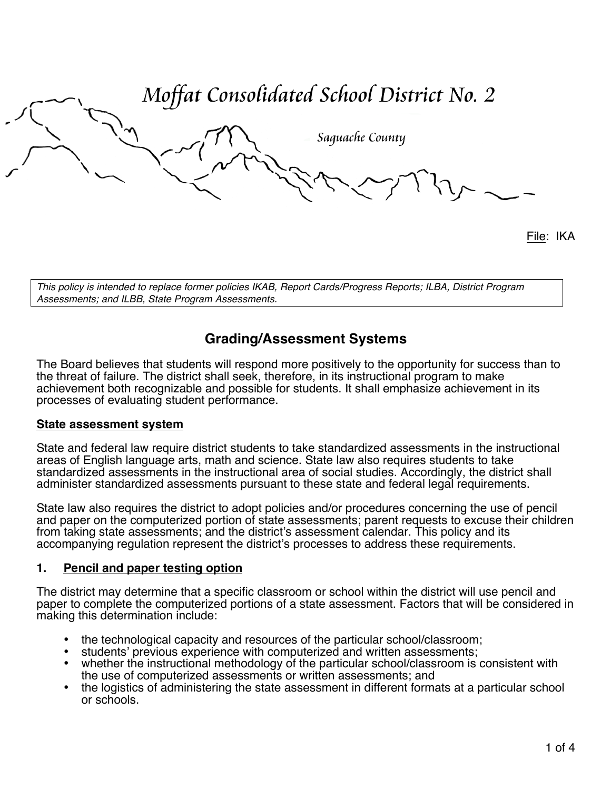Moffat Consolidated School District No. 2 Saquache County

File: IKA

*This policy is intended to replace former policies IKAB, Report Cards/Progress Reports; ILBA, District Program Assessments; and ILBB, State Program Assessments.*

# **Grading/Assessment Systems**

The Board believes that students will respond more positively to the opportunity for success than to the threat of failure. The district shall seek, therefore, in its instructional program to make achievement both recognizable and possible for students. It shall emphasize achievement in its processes of evaluating student performance.

## **State assessment system**

State and federal law require district students to take standardized assessments in the instructional areas of English language arts, math and science. State law also requires students to take standardized assessments in the instructional area of social studies. Accordingly, the district shall administer standardized assessments pursuant to these state and federal legal requirements.

State law also requires the district to adopt policies and/or procedures concerning the use of pencil and paper on the computerized portion of state assessments; parent requests to excuse their children from taking state assessments; and the district's assessment calendar. This policy and its accompanying regulation represent the district's processes to address these requirements.

## **1. Pencil and paper testing option**

The district may determine that a specific classroom or school within the district will use pencil and paper to complete the computerized portions of a state assessment. Factors that will be considered in making this determination include:

- the technological capacity and resources of the particular school/classroom; students' previous experience with computerized and written assessments;
- 
- whether the instructional methodology of the particular school/classroom is consistent with the use of computerized assessments or written assessments; and
- the logistics of administering the state assessment in different formats at a particular school or schools.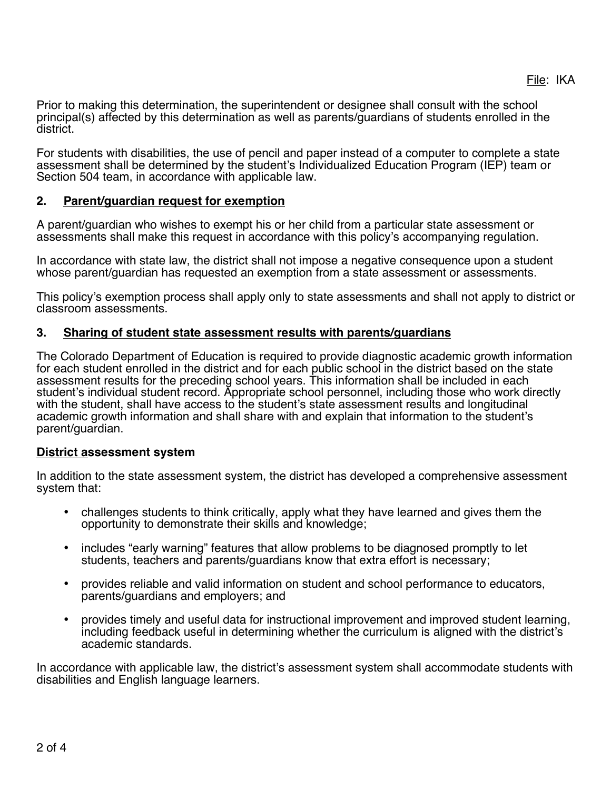Prior to making this determination, the superintendent or designee shall consult with the school principal(s) affected by this determination as well as parents/guardians of students enrolled in the district.

For students with disabilities, the use of pencil and paper instead of a computer to complete a state assessment shall be determined by the student's Individualized Education Program (IEP) team or Section 504 team, in accordance with applicable law.

## **2. Parent/guardian request for exemption**

A parent/guardian who wishes to exempt his or her child from a particular state assessment or assessments shall make this request in accordance with this policy's accompanying regulation.

In accordance with state law, the district shall not impose a negative consequence upon a student whose parent/guardian has requested an exemption from a state assessment or assessments.

This policy's exemption process shall apply only to state assessments and shall not apply to district or classroom assessments.

## **3. Sharing of student state assessment results with parents/guardians**

The Colorado Department of Education is required to provide diagnostic academic growth information for each student enrolled in the district and for each public school in the district based on the state assessment results for the preceding school years. This information shall be included in each student's individual student record. Appropriate school personnel, including those who work directly with the student, shall have access to the student's state assessment results and longitudinal academic growth information and shall share with and explain that information to the student's parent/guardian.

## **District assessment system**

In addition to the state assessment system, the district has developed a comprehensive assessment system that:

- challenges students to think critically, apply what they have learned and gives them the opportunity to demonstrate their skills and knowledge;
- includes "early warning" features that allow problems to be diagnosed promptly to let students, teachers and parents/guardians know that extra effort is necessary;
- provides reliable and valid information on student and school performance to educators, parents/guardians and employers; and
- provides timely and useful data for instructional improvement and improved student learning, including feedback useful in determining whether the curriculum is aligned with the district's academic standards.

In accordance with applicable law, the district's assessment system shall accommodate students with disabilities and English language learners.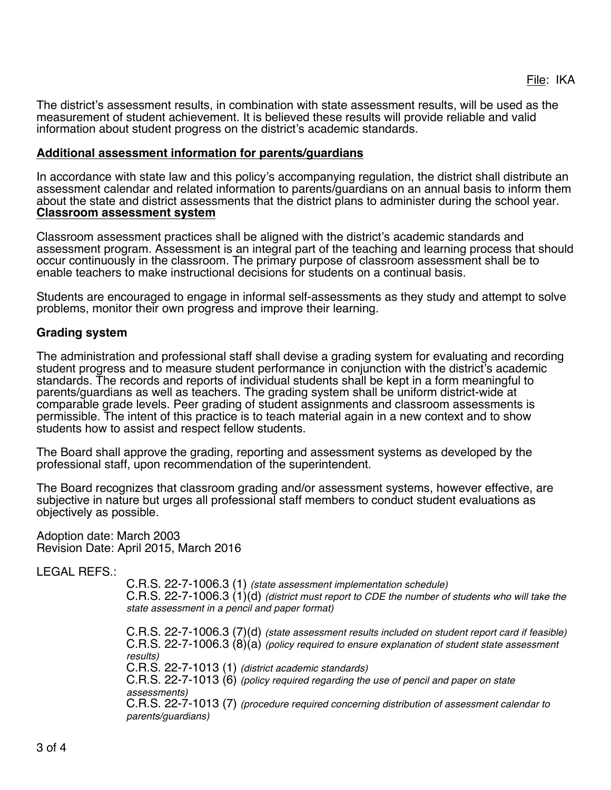The district's assessment results, in combination with state assessment results, will be used as the measurement of student achievement. It is believed these results will provide reliable and valid information about student progress on the district's academic standards.

### **Additional assessment information for parents/guardians**

In accordance with state law and this policy's accompanying regulation, the district shall distribute an assessment calendar and related information to parents/guardians on an annual basis to inform them about the state and district assessments that the district plans to administer during the school year. **Classroom assessment system**

Classroom assessment practices shall be aligned with the district's academic standards and assessment program. Assessment is an integral part of the teaching and learning process that should occur continuously in the classroom. The primary purpose of classroom assessment shall be to enable teachers to make instructional decisions for students on a continual basis.

Students are encouraged to engage in informal self-assessments as they study and attempt to solve problems, monitor their own progress and improve their learning.

## **Grading system**

The administration and professional staff shall devise a grading system for evaluating and recording student progress and to measure student performance in conjunction with the district's academic standards. The records and reports of individual students shall be kept in a form meaningful to parents/guardians as well as teachers. The grading system shall be uniform district-wide at comparable grade levels. Peer grading of student assignments and classroom assessments is permissible. The intent of this practice is to teach material again in a new context and to show students how to assist and respect fellow students.

The Board shall approve the grading, reporting and assessment systems as developed by the professional staff, upon recommendation of the superintendent.

The Board recognizes that classroom grading and/or assessment systems, however effective, are subjective in nature but urges all professional staff members to conduct student evaluations as objectively as possible.

Adoption date: March 2003 Revision Date: April 2015, March 2016

LEGAL REFS.:

C.R.S. 22-7-1006.3 (1) *(state assessment implementation schedule)* C.R.S. 22-7-1006.3 (1)(d) *(district must report to CDE the number of students who will take the state assessment in a pencil and paper format)*

C.R.S. 22-7-1006.3 (7)(d) *(state assessment results included on student report card if feasible)* C.R.S. 22-7-1006.3 (8)(a) *(policy required to ensure explanation of student state assessment results)* C.R.S. 22-7-1013 (1) *(district academic standards)* C.R.S. 22-7-1013 (6) *(policy required regarding the use of pencil and paper on state assessments)* C.R.S. 22-7-1013 (7) *(procedure required concerning distribution of assessment calendar to parents/guardians)*